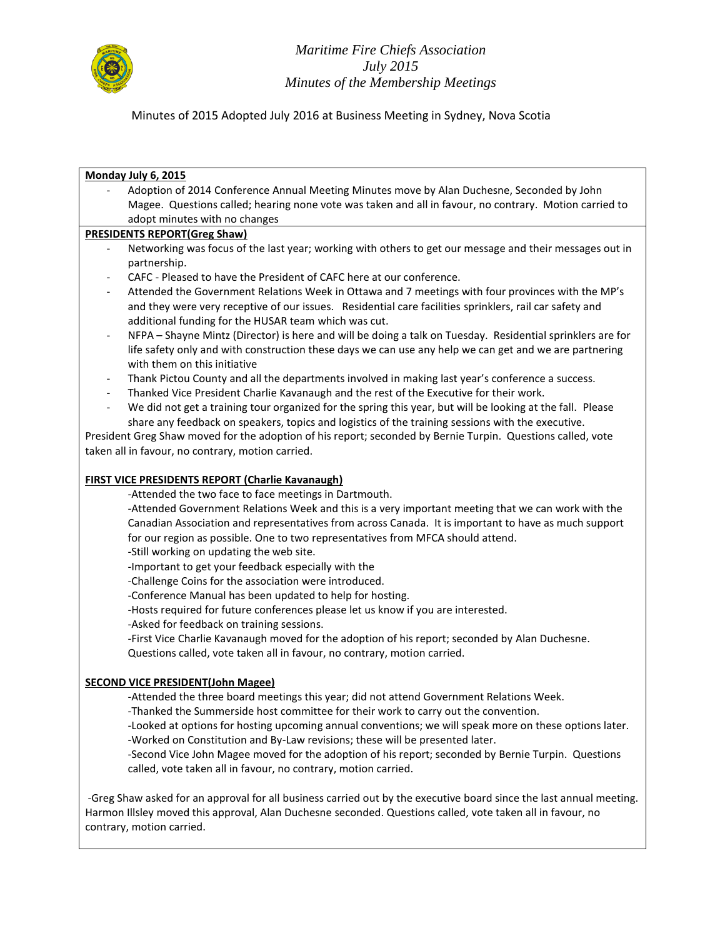

Minutes of 2015 Adopted July 2016 at Business Meeting in Sydney, Nova Scotia

#### **Monday July 6, 2015**

Adoption of 2014 Conference Annual Meeting Minutes move by Alan Duchesne, Seconded by John Magee. Questions called; hearing none vote was taken and all in favour, no contrary. Motion carried to adopt minutes with no changes

#### **PRESIDENTS REPORT(Greg Shaw)**

- Networking was focus of the last year; working with others to get our message and their messages out in partnership.
- CAFC Pleased to have the President of CAFC here at our conference.
- Attended the Government Relations Week in Ottawa and 7 meetings with four provinces with the MP's and they were very receptive of our issues. Residential care facilities sprinklers, rail car safety and additional funding for the HUSAR team which was cut.
- NFPA Shayne Mintz (Director) is here and will be doing a talk on Tuesday. Residential sprinklers are for life safety only and with construction these days we can use any help we can get and we are partnering with them on this initiative
- Thank Pictou County and all the departments involved in making last year's conference a success.
- Thanked Vice President Charlie Kavanaugh and the rest of the Executive for their work.
- We did not get a training tour organized for the spring this year, but will be looking at the fall. Please share any feedback on speakers, topics and logistics of the training sessions with the executive.

President Greg Shaw moved for the adoption of his report; seconded by Bernie Turpin. Questions called, vote taken all in favour, no contrary, motion carried.

#### **FIRST VICE PRESIDENTS REPORT (Charlie Kavanaugh)**

-Attended the two face to face meetings in Dartmouth.

-Attended Government Relations Week and this is a very important meeting that we can work with the Canadian Association and representatives from across Canada. It is important to have as much support for our region as possible. One to two representatives from MFCA should attend.

-Still working on updating the web site.

-Important to get your feedback especially with the

-Challenge Coins for the association were introduced.

-Conference Manual has been updated to help for hosting.

-Hosts required for future conferences please let us know if you are interested.

-Asked for feedback on training sessions.

-First Vice Charlie Kavanaugh moved for the adoption of his report; seconded by Alan Duchesne. Questions called, vote taken all in favour, no contrary, motion carried.

# **SECOND VICE PRESIDENT(John Magee)**

-Attended the three board meetings this year; did not attend Government Relations Week.

-Thanked the Summerside host committee for their work to carry out the convention.

-Looked at options for hosting upcoming annual conventions; we will speak more on these options later. -Worked on Constitution and By-Law revisions; these will be presented later.

-Second Vice John Magee moved for the adoption of his report; seconded by Bernie Turpin. Questions called, vote taken all in favour, no contrary, motion carried.

-Greg Shaw asked for an approval for all business carried out by the executive board since the last annual meeting. Harmon Illsley moved this approval, Alan Duchesne seconded. Questions called, vote taken all in favour, no contrary, motion carried.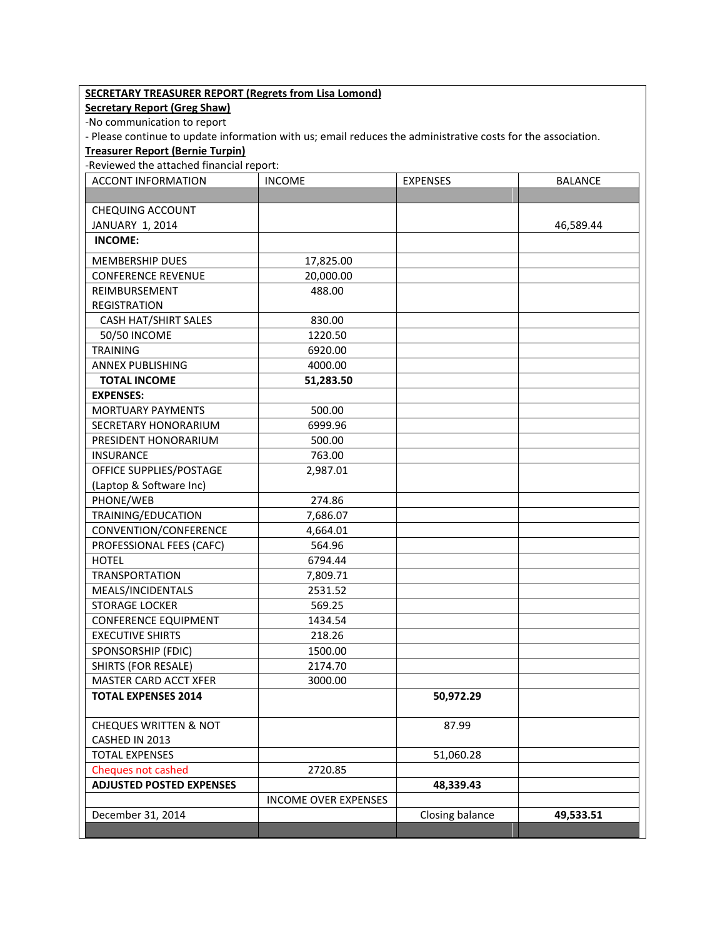| <b>SECRETARY TREASURER REPORT (Regrets from Lisa Lomond)</b><br><b>Secretary Report (Greg Shaw)</b>          |                             |                 |                |  |  |
|--------------------------------------------------------------------------------------------------------------|-----------------------------|-----------------|----------------|--|--|
| -No communication to report                                                                                  |                             |                 |                |  |  |
| - Please continue to update information with us; email reduces the administrative costs for the association. |                             |                 |                |  |  |
| <b>Treasurer Report (Bernie Turpin)</b>                                                                      |                             |                 |                |  |  |
| -Reviewed the attached financial report:                                                                     |                             |                 |                |  |  |
| <b>ACCONT INFORMATION</b>                                                                                    | <b>INCOME</b>               | <b>EXPENSES</b> | <b>BALANCE</b> |  |  |
|                                                                                                              |                             |                 |                |  |  |
| <b>CHEQUING ACCOUNT</b>                                                                                      |                             |                 |                |  |  |
| JANUARY 1, 2014                                                                                              |                             |                 | 46,589.44      |  |  |
| <b>INCOME:</b>                                                                                               |                             |                 |                |  |  |
|                                                                                                              |                             |                 |                |  |  |
| <b>MEMBERSHIP DUES</b>                                                                                       | 17,825.00                   |                 |                |  |  |
| <b>CONFERENCE REVENUE</b>                                                                                    | 20,000.00                   |                 |                |  |  |
| REIMBURSEMENT                                                                                                | 488.00                      |                 |                |  |  |
| <b>REGISTRATION</b>                                                                                          |                             |                 |                |  |  |
| CASH HAT/SHIRT SALES                                                                                         | 830.00                      |                 |                |  |  |
| 50/50 INCOME                                                                                                 | 1220.50                     |                 |                |  |  |
| <b>TRAINING</b>                                                                                              | 6920.00                     |                 |                |  |  |
| <b>ANNEX PUBLISHING</b>                                                                                      | 4000.00                     |                 |                |  |  |
| <b>TOTAL INCOME</b>                                                                                          | 51,283.50                   |                 |                |  |  |
| <b>EXPENSES:</b>                                                                                             |                             |                 |                |  |  |
| <b>MORTUARY PAYMENTS</b>                                                                                     | 500.00                      |                 |                |  |  |
| SECRETARY HONORARIUM                                                                                         | 6999.96                     |                 |                |  |  |
| PRESIDENT HONORARIUM                                                                                         | 500.00                      |                 |                |  |  |
| <b>INSURANCE</b>                                                                                             | 763.00                      |                 |                |  |  |
| OFFICE SUPPLIES/POSTAGE                                                                                      | 2,987.01                    |                 |                |  |  |
| (Laptop & Software Inc)                                                                                      |                             |                 |                |  |  |
| PHONE/WEB                                                                                                    | 274.86                      |                 |                |  |  |
| TRAINING/EDUCATION                                                                                           | 7,686.07                    |                 |                |  |  |
| CONVENTION/CONFERENCE                                                                                        | 4,664.01                    |                 |                |  |  |
| PROFESSIONAL FEES (CAFC)                                                                                     | 564.96                      |                 |                |  |  |
| <b>HOTEL</b>                                                                                                 | 6794.44                     |                 |                |  |  |
| <b>TRANSPORTATION</b>                                                                                        | 7,809.71                    |                 |                |  |  |
| MEALS/INCIDENTALS                                                                                            | 2531.52                     |                 |                |  |  |
| <b>STORAGE LOCKER</b>                                                                                        | 569.25                      |                 |                |  |  |
| <b>CONFERENCE EQUIPMENT</b>                                                                                  | 1434.54                     |                 |                |  |  |
| <b>EXECUTIVE SHIRTS</b>                                                                                      | 218.26                      |                 |                |  |  |
| SPONSORSHIP (FDIC)                                                                                           | 1500.00                     |                 |                |  |  |
| <b>SHIRTS (FOR RESALE)</b>                                                                                   | 2174.70                     |                 |                |  |  |
| MASTER CARD ACCT XFER                                                                                        | 3000.00                     |                 |                |  |  |
| <b>TOTAL EXPENSES 2014</b>                                                                                   |                             | 50,972.29       |                |  |  |
|                                                                                                              |                             |                 |                |  |  |
| <b>CHEQUES WRITTEN &amp; NOT</b>                                                                             |                             | 87.99           |                |  |  |
| CASHED IN 2013                                                                                               |                             |                 |                |  |  |
| <b>TOTAL EXPENSES</b>                                                                                        |                             | 51,060.28       |                |  |  |
| Cheques not cashed                                                                                           | 2720.85                     |                 |                |  |  |
| <b>ADJUSTED POSTED EXPENSES</b>                                                                              |                             | 48,339.43       |                |  |  |
|                                                                                                              | <b>INCOME OVER EXPENSES</b> |                 |                |  |  |
| December 31, 2014                                                                                            |                             | Closing balance | 49,533.51      |  |  |
|                                                                                                              |                             |                 |                |  |  |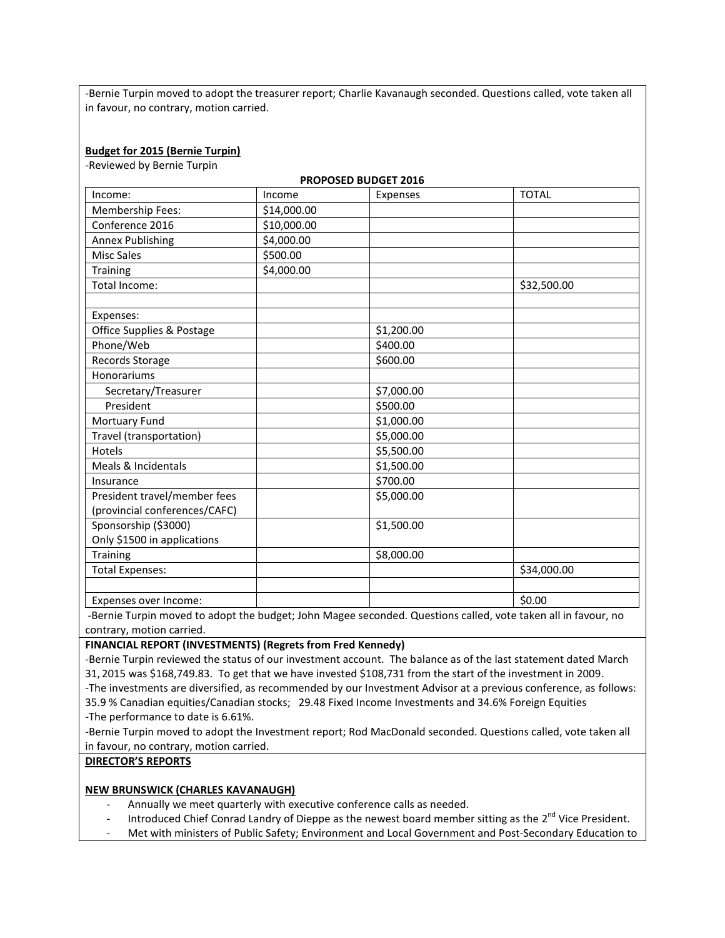-Bernie Turpin moved to adopt the treasurer report; Charlie Kavanaugh seconded. Questions called, vote taken all in favour, no contrary, motion carried.

**PROPOSED BUDGET 2016**

#### **Budget for 2015 (Bernie Turpin)**

-Reviewed by Bernie Turpin

| PROPOSED BUDGET ZUID          |             |            |              |  |  |
|-------------------------------|-------------|------------|--------------|--|--|
| Income:                       | Income      | Expenses   | <b>TOTAL</b> |  |  |
| <b>Membership Fees:</b>       | \$14,000.00 |            |              |  |  |
| Conference 2016               | \$10,000.00 |            |              |  |  |
| <b>Annex Publishing</b>       | \$4,000.00  |            |              |  |  |
| <b>Misc Sales</b>             | \$500.00    |            |              |  |  |
| <b>Training</b>               | \$4,000.00  |            |              |  |  |
| Total Income:                 |             |            | \$32,500.00  |  |  |
|                               |             |            |              |  |  |
| Expenses:                     |             |            |              |  |  |
| Office Supplies & Postage     |             | \$1,200.00 |              |  |  |
| Phone/Web                     |             | \$400.00   |              |  |  |
| Records Storage               |             | \$600.00   |              |  |  |
| Honorariums                   |             |            |              |  |  |
| Secretary/Treasurer           |             | \$7,000.00 |              |  |  |
| President                     |             | \$500.00   |              |  |  |
| Mortuary Fund                 |             | \$1,000.00 |              |  |  |
| Travel (transportation)       |             | \$5,000.00 |              |  |  |
| Hotels                        |             | \$5,500.00 |              |  |  |
| Meals & Incidentals           |             | \$1,500.00 |              |  |  |
| Insurance                     |             | \$700.00   |              |  |  |
| President travel/member fees  |             | \$5,000.00 |              |  |  |
| (provincial conferences/CAFC) |             |            |              |  |  |
| Sponsorship (\$3000)          |             | \$1,500.00 |              |  |  |
| Only \$1500 in applications   |             |            |              |  |  |
| Training                      |             | \$8,000.00 |              |  |  |
| <b>Total Expenses:</b>        |             |            | \$34,000.00  |  |  |
|                               |             |            |              |  |  |
| Expenses over Income:         |             |            | \$0.00       |  |  |

-Bernie Turpin moved to adopt the budget; John Magee seconded. Questions called, vote taken all in favour, no contrary, motion carried.

#### **FINANCIAL REPORT (INVESTMENTS) (Regrets from Fred Kennedy)**

-Bernie Turpin reviewed the status of our investment account. The balance as of the last statement dated March 31, 2015 was \$168,749.83. To get that we have invested \$108,731 from the start of the investment in 2009. -The investments are diversified, as recommended by our Investment Advisor at a previous conference, as follows: 35.9 % Canadian equities/Canadian stocks; 29.48 Fixed Income Investments and 34.6% Foreign Equities -The performance to date is 6.61%.

-Bernie Turpin moved to adopt the Investment report; Rod MacDonald seconded. Questions called, vote taken all in favour, no contrary, motion carried.

**DIRECTOR'S REPORTS**

#### **NEW BRUNSWICK (CHARLES KAVANAUGH)**

- Annually we meet quarterly with executive conference calls as needed.
- Introduced Chief Conrad Landry of Dieppe as the newest board member sitting as the 2<sup>nd</sup> Vice President.
- Met with ministers of Public Safety; Environment and Local Government and Post-Secondary Education to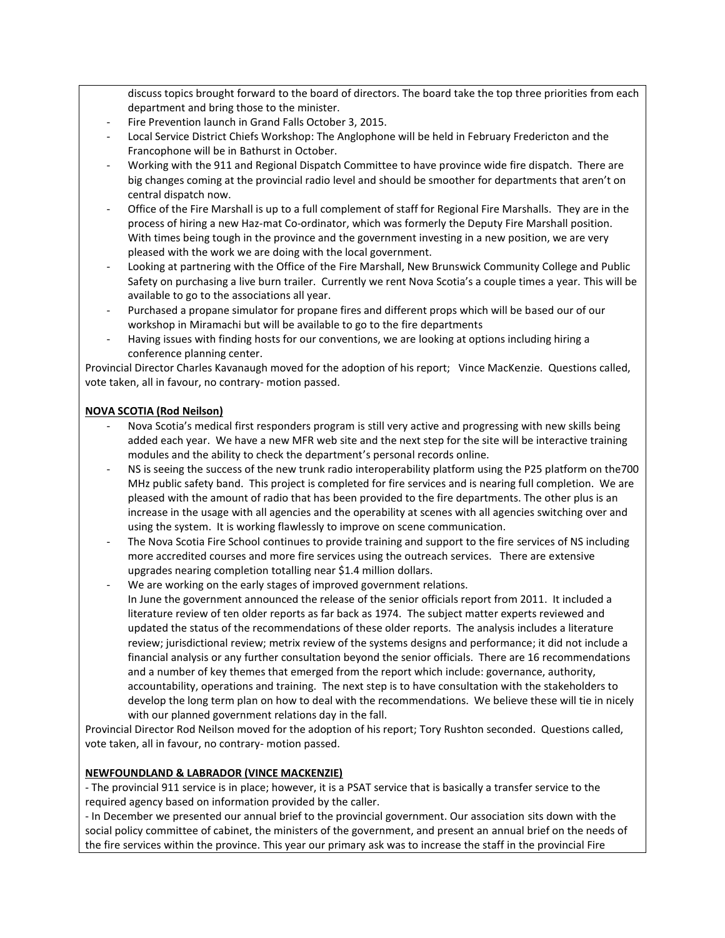discuss topics brought forward to the board of directors. The board take the top three priorities from each department and bring those to the minister.

- Fire Prevention launch in Grand Falls October 3, 2015.
- Local Service District Chiefs Workshop: The Anglophone will be held in February Fredericton and the Francophone will be in Bathurst in October.
- Working with the 911 and Regional Dispatch Committee to have province wide fire dispatch. There are big changes coming at the provincial radio level and should be smoother for departments that aren't on central dispatch now.
- Office of the Fire Marshall is up to a full complement of staff for Regional Fire Marshalls. They are in the process of hiring a new Haz-mat Co-ordinator, which was formerly the Deputy Fire Marshall position. With times being tough in the province and the government investing in a new position, we are very pleased with the work we are doing with the local government.
- Looking at partnering with the Office of the Fire Marshall, New Brunswick Community College and Public Safety on purchasing a live burn trailer. Currently we rent Nova Scotia's a couple times a year. This will be available to go to the associations all year.
- Purchased a propane simulator for propane fires and different props which will be based our of our workshop in Miramachi but will be available to go to the fire departments
- Having issues with finding hosts for our conventions, we are looking at options including hiring a conference planning center.

Provincial Director Charles Kavanaugh moved for the adoption of his report; Vince MacKenzie. Questions called, vote taken, all in favour, no contrary- motion passed.

# **NOVA SCOTIA (Rod Neilson)**

- Nova Scotia's medical first responders program is still very active and progressing with new skills being added each year. We have a new MFR web site and the next step for the site will be interactive training modules and the ability to check the department's personal records online.
- NS is seeing the success of the new trunk radio interoperability platform using the P25 platform on the700 MHz public safety band. This project is completed for fire services and is nearing full completion. We are pleased with the amount of radio that has been provided to the fire departments. The other plus is an increase in the usage with all agencies and the operability at scenes with all agencies switching over and using the system. It is working flawlessly to improve on scene communication.
- The Nova Scotia Fire School continues to provide training and support to the fire services of NS including more accredited courses and more fire services using the outreach services. There are extensive upgrades nearing completion totalling near \$1.4 million dollars.
- We are working on the early stages of improved government relations. In June the government announced the release of the senior officials report from 2011. It included a literature review of ten older reports as far back as 1974. The subject matter experts reviewed and updated the status of the recommendations of these older reports. The analysis includes a literature review; jurisdictional review; metrix review of the systems designs and performance; it did not include a financial analysis or any further consultation beyond the senior officials. There are 16 recommendations and a number of key themes that emerged from the report which include: governance, authority, accountability, operations and training. The next step is to have consultation with the stakeholders to develop the long term plan on how to deal with the recommendations. We believe these will tie in nicely with our planned government relations day in the fall.

Provincial Director Rod Neilson moved for the adoption of his report; Tory Rushton seconded. Questions called, vote taken, all in favour, no contrary- motion passed.

## **NEWFOUNDLAND & LABRADOR (VINCE MACKENZIE)**

- The provincial 911 service is in place; however, it is a PSAT service that is basically a transfer service to the required agency based on information provided by the caller.

- In December we presented our annual brief to the provincial government. Our association sits down with the social policy committee of cabinet, the ministers of the government, and present an annual brief on the needs of the fire services within the province. This year our primary ask was to increase the staff in the provincial Fire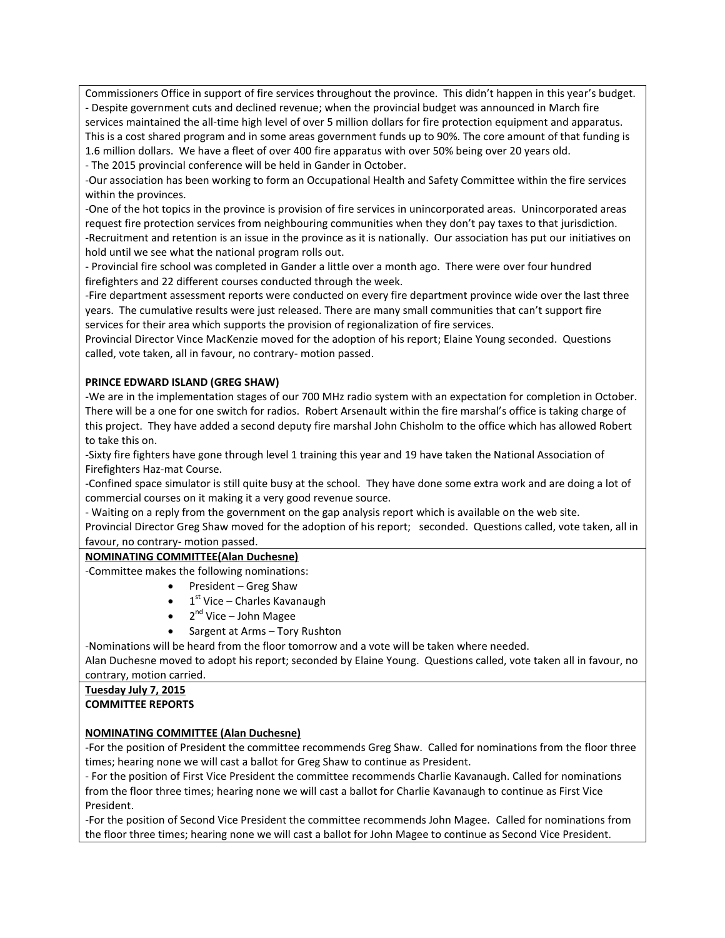Commissioners Office in support of fire services throughout the province. This didn't happen in this year's budget. - Despite government cuts and declined revenue; when the provincial budget was announced in March fire services maintained the all-time high level of over 5 million dollars for fire protection equipment and apparatus. This is a cost shared program and in some areas government funds up to 90%. The core amount of that funding is 1.6 million dollars. We have a fleet of over 400 fire apparatus with over 50% being over 20 years old.

- The 2015 provincial conference will be held in Gander in October.

-Our association has been working to form an Occupational Health and Safety Committee within the fire services within the provinces.

-One of the hot topics in the province is provision of fire services in unincorporated areas. Unincorporated areas request fire protection services from neighbouring communities when they don't pay taxes to that jurisdiction. -Recruitment and retention is an issue in the province as it is nationally. Our association has put our initiatives on hold until we see what the national program rolls out.

- Provincial fire school was completed in Gander a little over a month ago. There were over four hundred firefighters and 22 different courses conducted through the week.

-Fire department assessment reports were conducted on every fire department province wide over the last three years. The cumulative results were just released. There are many small communities that can't support fire services for their area which supports the provision of regionalization of fire services.

Provincial Director Vince MacKenzie moved for the adoption of his report; Elaine Young seconded. Questions called, vote taken, all in favour, no contrary- motion passed.

## **PRINCE EDWARD ISLAND (GREG SHAW)**

-We are in the implementation stages of our 700 MHz radio system with an expectation for completion in October. There will be a one for one switch for radios. Robert Arsenault within the fire marshal's office is taking charge of this project. They have added a second deputy fire marshal John Chisholm to the office which has allowed Robert to take this on.

-Sixty fire fighters have gone through level 1 training this year and 19 have taken the National Association of Firefighters Haz-mat Course.

-Confined space simulator is still quite busy at the school. They have done some extra work and are doing a lot of commercial courses on it making it a very good revenue source.

- Waiting on a reply from the government on the gap analysis report which is available on the web site.

Provincial Director Greg Shaw moved for the adoption of his report; seconded. Questions called, vote taken, all in favour, no contrary- motion passed.

## **NOMINATING COMMITTEE(Alan Duchesne)**

-Committee makes the following nominations:

- President Greg Shaw
- $\bullet$  1<sup>st</sup> Vice Charles Kavanaugh
- 2<sup>nd</sup> Vice John Magee
- Sargent at Arms Tory Rushton

-Nominations will be heard from the floor tomorrow and a vote will be taken where needed.

Alan Duchesne moved to adopt his report; seconded by Elaine Young. Questions called, vote taken all in favour, no contrary, motion carried.

# **Tuesday July 7, 2015**

# **COMMITTEE REPORTS**

## **NOMINATING COMMITTEE (Alan Duchesne)**

-For the position of President the committee recommends Greg Shaw. Called for nominations from the floor three times; hearing none we will cast a ballot for Greg Shaw to continue as President.

- For the position of First Vice President the committee recommends Charlie Kavanaugh. Called for nominations from the floor three times; hearing none we will cast a ballot for Charlie Kavanaugh to continue as First Vice President.

-For the position of Second Vice President the committee recommends John Magee. Called for nominations from the floor three times; hearing none we will cast a ballot for John Magee to continue as Second Vice President.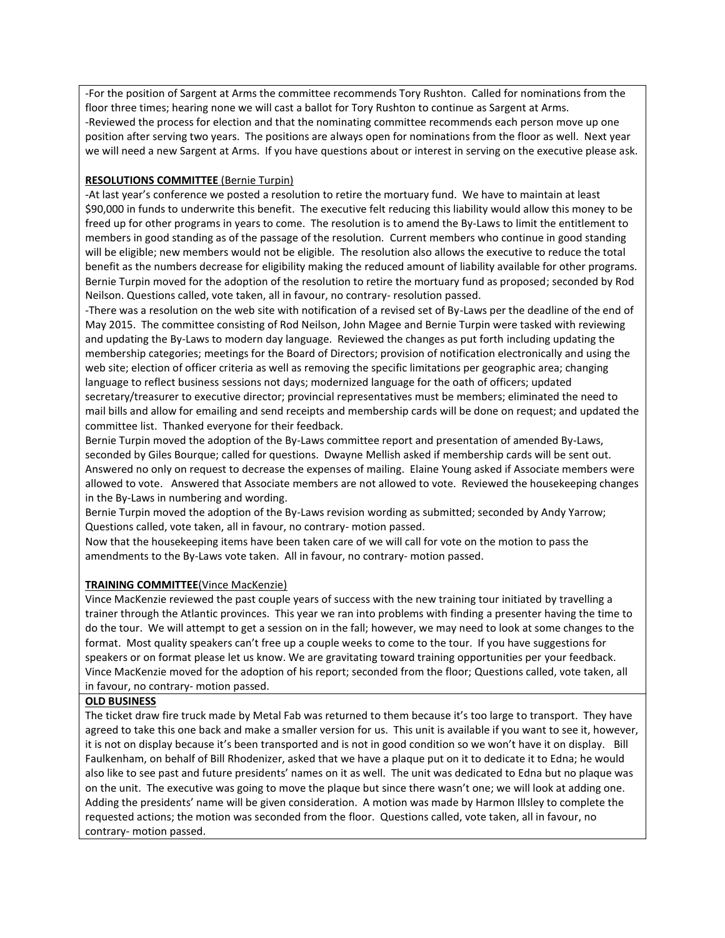-For the position of Sargent at Arms the committee recommends Tory Rushton. Called for nominations from the floor three times; hearing none we will cast a ballot for Tory Rushton to continue as Sargent at Arms. -Reviewed the process for election and that the nominating committee recommends each person move up one position after serving two years. The positions are always open for nominations from the floor as well. Next year we will need a new Sargent at Arms. If you have questions about or interest in serving on the executive please ask.

# **RESOLUTIONS COMMITTEE** (Bernie Turpin)

-At last year's conference we posted a resolution to retire the mortuary fund. We have to maintain at least \$90,000 in funds to underwrite this benefit. The executive felt reducing this liability would allow this money to be freed up for other programs in years to come. The resolution is to amend the By-Laws to limit the entitlement to members in good standing as of the passage of the resolution. Current members who continue in good standing will be eligible; new members would not be eligible. The resolution also allows the executive to reduce the total benefit as the numbers decrease for eligibility making the reduced amount of liability available for other programs. Bernie Turpin moved for the adoption of the resolution to retire the mortuary fund as proposed; seconded by Rod Neilson. Questions called, vote taken, all in favour, no contrary- resolution passed.

-There was a resolution on the web site with notification of a revised set of By-Laws per the deadline of the end of May 2015. The committee consisting of Rod Neilson, John Magee and Bernie Turpin were tasked with reviewing and updating the By-Laws to modern day language. Reviewed the changes as put forth including updating the membership categories; meetings for the Board of Directors; provision of notification electronically and using the web site; election of officer criteria as well as removing the specific limitations per geographic area; changing language to reflect business sessions not days; modernized language for the oath of officers; updated secretary/treasurer to executive director; provincial representatives must be members; eliminated the need to mail bills and allow for emailing and send receipts and membership cards will be done on request; and updated the committee list. Thanked everyone for their feedback.

Bernie Turpin moved the adoption of the By-Laws committee report and presentation of amended By-Laws, seconded by Giles Bourque; called for questions. Dwayne Mellish asked if membership cards will be sent out. Answered no only on request to decrease the expenses of mailing. Elaine Young asked if Associate members were allowed to vote. Answered that Associate members are not allowed to vote. Reviewed the housekeeping changes in the By-Laws in numbering and wording.

Bernie Turpin moved the adoption of the By-Laws revision wording as submitted; seconded by Andy Yarrow; Questions called, vote taken, all in favour, no contrary- motion passed.

Now that the housekeeping items have been taken care of we will call for vote on the motion to pass the amendments to the By-Laws vote taken. All in favour, no contrary- motion passed.

## **TRAINING COMMITTEE**(Vince MacKenzie)

Vince MacKenzie reviewed the past couple years of success with the new training tour initiated by travelling a trainer through the Atlantic provinces. This year we ran into problems with finding a presenter having the time to do the tour. We will attempt to get a session on in the fall; however, we may need to look at some changes to the format. Most quality speakers can't free up a couple weeks to come to the tour. If you have suggestions for speakers or on format please let us know. We are gravitating toward training opportunities per your feedback. Vince MacKenzie moved for the adoption of his report; seconded from the floor; Questions called, vote taken, all in favour, no contrary- motion passed.

## **OLD BUSINESS**

The ticket draw fire truck made by Metal Fab was returned to them because it's too large to transport. They have agreed to take this one back and make a smaller version for us. This unit is available if you want to see it, however, it is not on display because it's been transported and is not in good condition so we won't have it on display. Bill Faulkenham, on behalf of Bill Rhodenizer, asked that we have a plaque put on it to dedicate it to Edna; he would also like to see past and future presidents' names on it as well. The unit was dedicated to Edna but no plaque was on the unit. The executive was going to move the plaque but since there wasn't one; we will look at adding one. Adding the presidents' name will be given consideration. A motion was made by Harmon Illsley to complete the requested actions; the motion was seconded from the floor. Questions called, vote taken, all in favour, no contrary- motion passed.